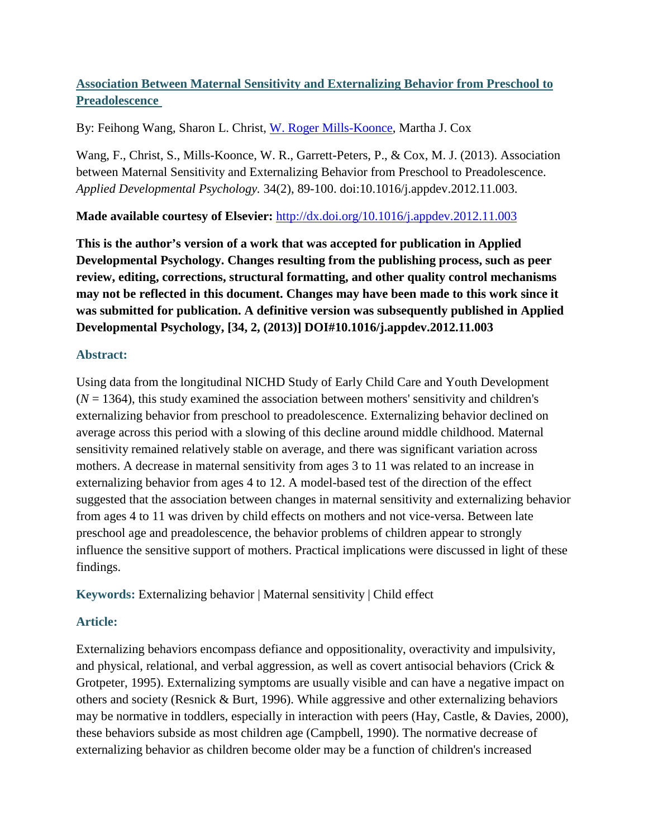# **Association Between Maternal Sensitivity and Externalizing Behavior from Preschool to Preadolescence**

By: Feihong Wang, Sharon L. Christ, [W. Roger Mills-Koonce,](http://libres.uncg.edu/ir/uncg/clist.aspx?id=7888) Martha J. Cox

Wang, F., Christ, S., Mills-Koonce, W. R., Garrett-Peters, P., & Cox, M. J. (2013). Association between Maternal Sensitivity and Externalizing Behavior from Preschool to Preadolescence. *Applied Developmental Psychology.* 34(2), 89-100. doi:10.1016/j.appdev.2012.11.003.

**Made available courtesy of Elsevier:** <http://dx.doi.org/10.1016/j.appdev.2012.11.003>

**This is the author's version of a work that was accepted for publication in Applied Developmental Psychology. Changes resulting from the publishing process, such as peer review, editing, corrections, structural formatting, and other quality control mechanisms may not be reflected in this document. Changes may have been made to this work since it was submitted for publication. A definitive version was subsequently published in Applied Developmental Psychology, [34, 2, (2013)] DOI#10.1016/j.appdev.2012.11.003**

# **Abstract:**

Using data from the longitudinal NICHD Study of Early Child Care and Youth Development  $(N = 1364)$ , this study examined the association between mothers' sensitivity and children's externalizing behavior from preschool to preadolescence. Externalizing behavior declined on average across this period with a slowing of this decline around middle childhood. Maternal sensitivity remained relatively stable on average, and there was significant variation across mothers. A decrease in maternal sensitivity from ages 3 to 11 was related to an increase in externalizing behavior from ages 4 to 12. A model-based test of the direction of the effect suggested that the association between changes in maternal sensitivity and externalizing behavior from ages 4 to 11 was driven by child effects on mothers and not vice-versa. Between late preschool age and preadolescence, the behavior problems of children appear to strongly influence the sensitive support of mothers. Practical implications were discussed in light of these findings.

**Keywords:** Externalizing behavior | Maternal sensitivity | Child effect

# **Article:**

Externalizing behaviors encompass defiance and oppositionality, overactivity and impulsivity, and physical, relational, and verbal aggression, as well as covert antisocial behaviors (Crick & Grotpeter, 1995). Externalizing symptoms are usually visible and can have a negative impact on others and society (Resnick & Burt, 1996). While aggressive and other externalizing behaviors may be normative in toddlers, especially in interaction with peers (Hay, Castle, & Davies, 2000), these behaviors subside as most children age (Campbell, 1990). The normative decrease of externalizing behavior as children become older may be a function of children's increased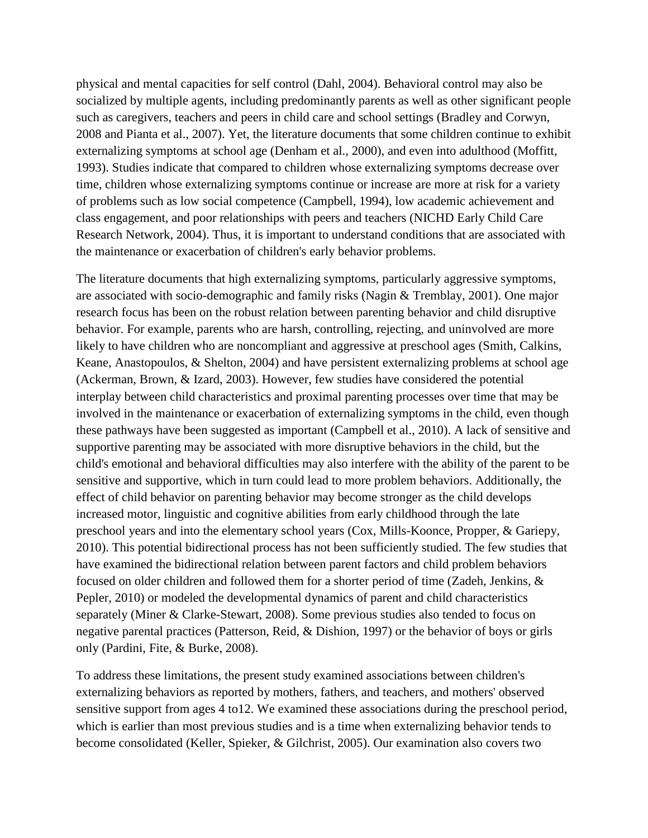physical and mental capacities for self control (Dahl, 2004). Behavioral control may also be socialized by multiple agents, including predominantly parents as well as other significant people such as caregivers, teachers and peers in child care and school settings (Bradley and Corwyn, 2008 and Pianta et al., 2007). Yet, the literature documents that some children continue to exhibit externalizing symptoms at school age (Denham et al., 2000), and even into adulthood (Moffitt, 1993). Studies indicate that compared to children whose externalizing symptoms decrease over time, children whose externalizing symptoms continue or increase are more at risk for a variety of problems such as low social competence (Campbell, 1994), low academic achievement and class engagement, and poor relationships with peers and teachers (NICHD Early Child Care Research Network, 2004). Thus, it is important to understand conditions that are associated with the maintenance or exacerbation of children's early behavior problems.

The literature documents that high externalizing symptoms, particularly aggressive symptoms, are associated with socio-demographic and family risks (Nagin & Tremblay, 2001). One major research focus has been on the robust relation between parenting behavior and child disruptive behavior. For example, parents who are harsh, controlling, rejecting, and uninvolved are more likely to have children who are noncompliant and aggressive at preschool ages (Smith, Calkins, Keane, Anastopoulos, & Shelton, 2004) and have persistent externalizing problems at school age (Ackerman, Brown, & Izard, 2003). However, few studies have considered the potential interplay between child characteristics and proximal parenting processes over time that may be involved in the maintenance or exacerbation of externalizing symptoms in the child, even though these pathways have been suggested as important (Campbell et al., 2010). A lack of sensitive and supportive parenting may be associated with more disruptive behaviors in the child, but the child's emotional and behavioral difficulties may also interfere with the ability of the parent to be sensitive and supportive, which in turn could lead to more problem behaviors. Additionally, the effect of child behavior on parenting behavior may become stronger as the child develops increased motor, linguistic and cognitive abilities from early childhood through the late preschool years and into the elementary school years (Cox, Mills-Koonce, Propper, & Gariepy, 2010). This potential bidirectional process has not been sufficiently studied. The few studies that have examined the bidirectional relation between parent factors and child problem behaviors focused on older children and followed them for a shorter period of time (Zadeh, Jenkins, & Pepler, 2010) or modeled the developmental dynamics of parent and child characteristics separately (Miner & Clarke-Stewart, 2008). Some previous studies also tended to focus on negative parental practices (Patterson, Reid, & Dishion, 1997) or the behavior of boys or girls only (Pardini, Fite, & Burke, 2008).

To address these limitations, the present study examined associations between children's externalizing behaviors as reported by mothers, fathers, and teachers, and mothers' observed sensitive support from ages 4 to12. We examined these associations during the preschool period, which is earlier than most previous studies and is a time when externalizing behavior tends to become consolidated (Keller, Spieker, & Gilchrist, 2005). Our examination also covers two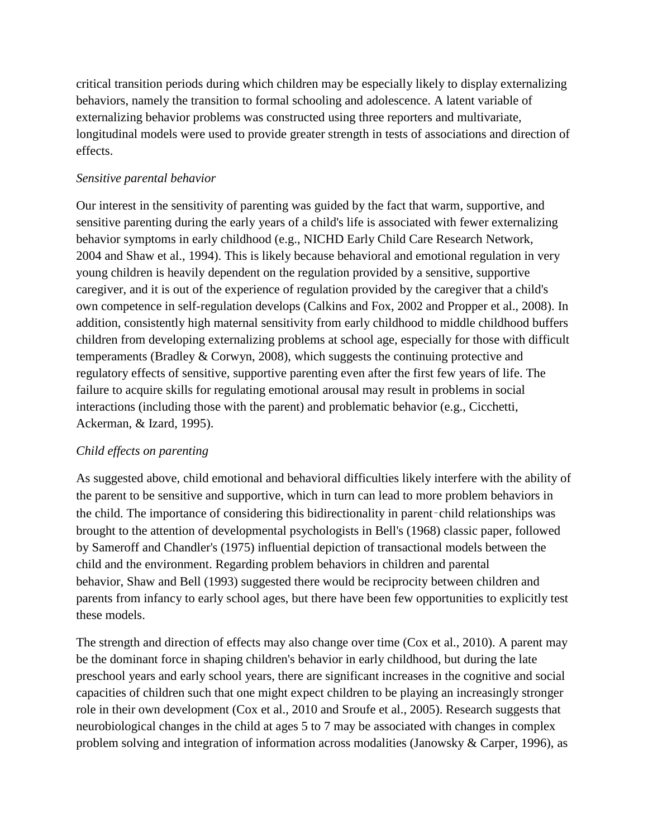critical transition periods during which children may be especially likely to display externalizing behaviors, namely the transition to formal schooling and adolescence. A latent variable of externalizing behavior problems was constructed using three reporters and multivariate, longitudinal models were used to provide greater strength in tests of associations and direction of effects.

### *Sensitive parental behavior*

Our interest in the sensitivity of parenting was guided by the fact that warm, supportive, and sensitive parenting during the early years of a child's life is associated with fewer externalizing behavior symptoms in early childhood (e.g., NICHD Early Child Care Research Network, 2004 and Shaw et al., 1994). This is likely because behavioral and emotional regulation in very young children is heavily dependent on the regulation provided by a sensitive, supportive caregiver, and it is out of the experience of regulation provided by the caregiver that a child's own competence in self-regulation develops (Calkins and Fox, 2002 and Propper et al., 2008). In addition, consistently high maternal sensitivity from early childhood to middle childhood buffers children from developing externalizing problems at school age, especially for those with difficult temperaments (Bradley & Corwyn, 2008), which suggests the continuing protective and regulatory effects of sensitive, supportive parenting even after the first few years of life. The failure to acquire skills for regulating emotional arousal may result in problems in social interactions (including those with the parent) and problematic behavior (e.g., Cicchetti, Ackerman, & Izard, 1995).

# *Child effects on parenting*

As suggested above, child emotional and behavioral difficulties likely interfere with the ability of the parent to be sensitive and supportive, which in turn can lead to more problem behaviors in the child. The importance of considering this bidirectionality in parent–child relationships was brought to the attention of developmental psychologists in Bell's (1968) classic paper, followed by Sameroff and Chandler's (1975) influential depiction of transactional models between the child and the environment. Regarding problem behaviors in children and parental behavior, Shaw and Bell (1993) suggested there would be reciprocity between children and parents from infancy to early school ages, but there have been few opportunities to explicitly test these models.

The strength and direction of effects may also change over time (Cox et al., 2010). A parent may be the dominant force in shaping children's behavior in early childhood, but during the late preschool years and early school years, there are significant increases in the cognitive and social capacities of children such that one might expect children to be playing an increasingly stronger role in their own development (Cox et al., 2010 and Sroufe et al., 2005). Research suggests that neurobiological changes in the child at ages 5 to 7 may be associated with changes in complex problem solving and integration of information across modalities (Janowsky & Carper, 1996), as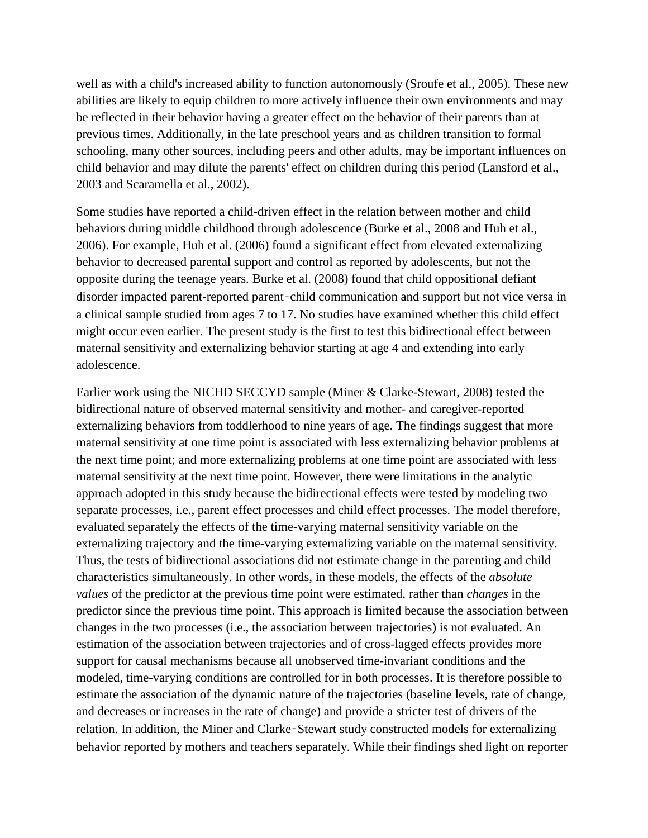well as with a child's increased ability to function autonomously (Sroufe et al., 2005). These new abilities are likely to equip children to more actively influence their own environments and may be reflected in their behavior having a greater effect on the behavior of their parents than at previous times. Additionally, in the late preschool years and as children transition to formal schooling, many other sources, including peers and other adults, may be important influences on child behavior and may dilute the parents' effect on children during this period (Lansford et al., 2003 and Scaramella et al., 2002).

Some studies have reported a child-driven effect in the relation between mother and child behaviors during middle childhood through adolescence (Burke et al., 2008 and Huh et al., 2006). For example, Huh et al. (2006) found a significant effect from elevated externalizing behavior to decreased parental support and control as reported by adolescents, but not the opposite during the teenage years. Burke et al. (2008) found that child oppositional defiant disorder impacted parent-reported parent–child communication and support but not vice versa in a clinical sample studied from ages 7 to 17. No studies have examined whether this child effect might occur even earlier. The present study is the first to test this bidirectional effect between maternal sensitivity and externalizing behavior starting at age 4 and extending into early adolescence.

Earlier work using the NICHD SECCYD sample (Miner & Clarke-Stewart, 2008) tested the bidirectional nature of observed maternal sensitivity and mother- and caregiver-reported externalizing behaviors from toddlerhood to nine years of age. The findings suggest that more maternal sensitivity at one time point is associated with less externalizing behavior problems at the next time point; and more externalizing problems at one time point are associated with less maternal sensitivity at the next time point. However, there were limitations in the analytic approach adopted in this study because the bidirectional effects were tested by modeling two separate processes, i.e., parent effect processes and child effect processes. The model therefore, evaluated separately the effects of the time-varying maternal sensitivity variable on the externalizing trajectory and the time-varying externalizing variable on the maternal sensitivity. Thus, the tests of bidirectional associations did not estimate change in the parenting and child characteristics simultaneously. In other words, in these models, the effects of the *absolute values* of the predictor at the previous time point were estimated, rather than *changes* in the predictor since the previous time point. This approach is limited because the association between changes in the two processes (i.e., the association between trajectories) is not evaluated. An estimation of the association between trajectories and of cross-lagged effects provides more support for causal mechanisms because all unobserved time-invariant conditions and the modeled, time-varying conditions are controlled for in both processes. It is therefore possible to estimate the association of the dynamic nature of the trajectories (baseline levels, rate of change, and decreases or increases in the rate of change) and provide a stricter test of drivers of the relation. In addition, the Miner and Clarke–Stewart study constructed models for externalizing behavior reported by mothers and teachers separately. While their findings shed light on reporter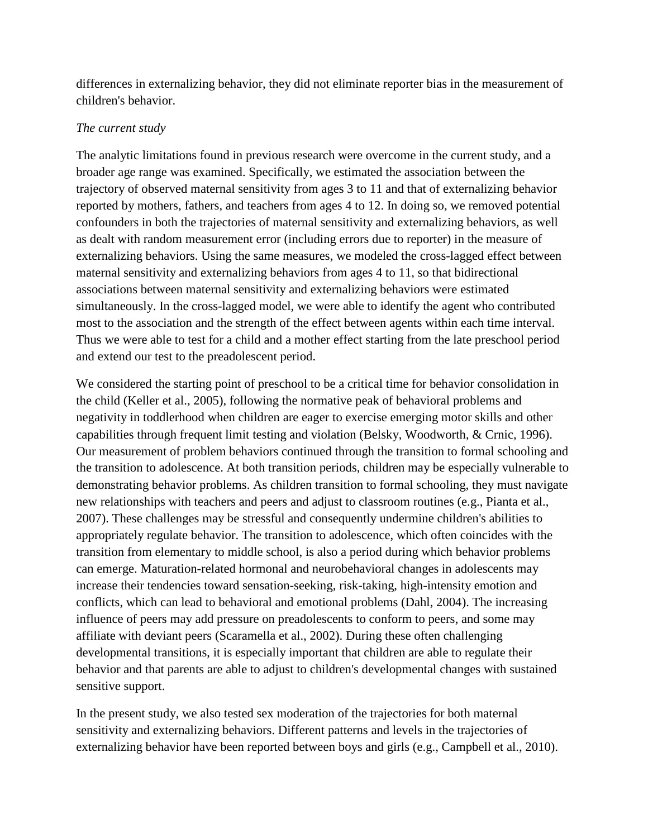differences in externalizing behavior, they did not eliminate reporter bias in the measurement of children's behavior.

### *The current study*

The analytic limitations found in previous research were overcome in the current study, and a broader age range was examined. Specifically, we estimated the association between the trajectory of observed maternal sensitivity from ages 3 to 11 and that of externalizing behavior reported by mothers, fathers, and teachers from ages 4 to 12. In doing so, we removed potential confounders in both the trajectories of maternal sensitivity and externalizing behaviors, as well as dealt with random measurement error (including errors due to reporter) in the measure of externalizing behaviors. Using the same measures, we modeled the cross-lagged effect between maternal sensitivity and externalizing behaviors from ages 4 to 11, so that bidirectional associations between maternal sensitivity and externalizing behaviors were estimated simultaneously. In the cross-lagged model, we were able to identify the agent who contributed most to the association and the strength of the effect between agents within each time interval. Thus we were able to test for a child and a mother effect starting from the late preschool period and extend our test to the preadolescent period.

We considered the starting point of preschool to be a critical time for behavior consolidation in the child (Keller et al., 2005), following the normative peak of behavioral problems and negativity in toddlerhood when children are eager to exercise emerging motor skills and other capabilities through frequent limit testing and violation (Belsky, Woodworth, & Crnic, 1996). Our measurement of problem behaviors continued through the transition to formal schooling and the transition to adolescence. At both transition periods, children may be especially vulnerable to demonstrating behavior problems. As children transition to formal schooling, they must navigate new relationships with teachers and peers and adjust to classroom routines (e.g., Pianta et al., 2007). These challenges may be stressful and consequently undermine children's abilities to appropriately regulate behavior. The transition to adolescence, which often coincides with the transition from elementary to middle school, is also a period during which behavior problems can emerge. Maturation-related hormonal and neurobehavioral changes in adolescents may increase their tendencies toward sensation-seeking, risk-taking, high-intensity emotion and conflicts, which can lead to behavioral and emotional problems (Dahl, 2004). The increasing influence of peers may add pressure on preadolescents to conform to peers, and some may affiliate with deviant peers (Scaramella et al., 2002). During these often challenging developmental transitions, it is especially important that children are able to regulate their behavior and that parents are able to adjust to children's developmental changes with sustained sensitive support.

In the present study, we also tested sex moderation of the trajectories for both maternal sensitivity and externalizing behaviors. Different patterns and levels in the trajectories of externalizing behavior have been reported between boys and girls (e.g., Campbell et al., 2010).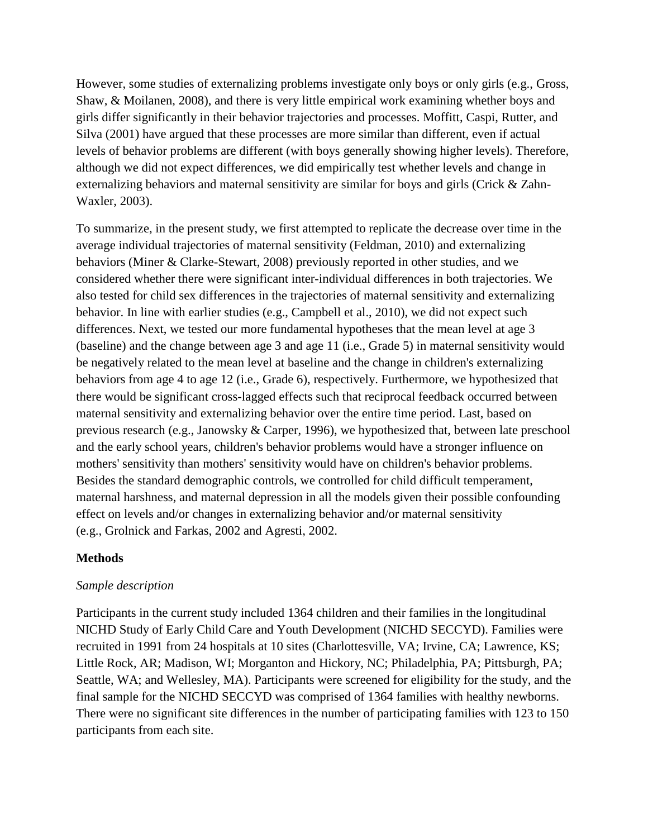However, some studies of externalizing problems investigate only boys or only girls (e.g., Gross, Shaw, & Moilanen, 2008), and there is very little empirical work examining whether boys and girls differ significantly in their behavior trajectories and processes. Moffitt, Caspi, Rutter, and Silva (2001) have argued that these processes are more similar than different, even if actual levels of behavior problems are different (with boys generally showing higher levels). Therefore, although we did not expect differences, we did empirically test whether levels and change in externalizing behaviors and maternal sensitivity are similar for boys and girls (Crick & Zahn-Waxler, 2003).

To summarize, in the present study, we first attempted to replicate the decrease over time in the average individual trajectories of maternal sensitivity (Feldman, 2010) and externalizing behaviors (Miner & Clarke-Stewart, 2008) previously reported in other studies, and we considered whether there were significant inter-individual differences in both trajectories. We also tested for child sex differences in the trajectories of maternal sensitivity and externalizing behavior. In line with earlier studies (e.g., Campbell et al., 2010), we did not expect such differences. Next, we tested our more fundamental hypotheses that the mean level at age 3 (baseline) and the change between age 3 and age 11 (i.e., Grade 5) in maternal sensitivity would be negatively related to the mean level at baseline and the change in children's externalizing behaviors from age 4 to age 12 (i.e., Grade 6), respectively. Furthermore, we hypothesized that there would be significant cross-lagged effects such that reciprocal feedback occurred between maternal sensitivity and externalizing behavior over the entire time period. Last, based on previous research (e.g., Janowsky & Carper, 1996), we hypothesized that, between late preschool and the early school years, children's behavior problems would have a stronger influence on mothers' sensitivity than mothers' sensitivity would have on children's behavior problems. Besides the standard demographic controls, we controlled for child difficult temperament, maternal harshness, and maternal depression in all the models given their possible confounding effect on levels and/or changes in externalizing behavior and/or maternal sensitivity (e.g., Grolnick and Farkas, 2002 and Agresti, 2002.

# **Methods**

### *Sample description*

Participants in the current study included 1364 children and their families in the longitudinal NICHD Study of Early Child Care and Youth Development (NICHD SECCYD). Families were recruited in 1991 from 24 hospitals at 10 sites (Charlottesville, VA; Irvine, CA; Lawrence, KS; Little Rock, AR; Madison, WI; Morganton and Hickory, NC; Philadelphia, PA; Pittsburgh, PA; Seattle, WA; and Wellesley, MA). Participants were screened for eligibility for the study, and the final sample for the NICHD SECCYD was comprised of 1364 families with healthy newborns. There were no significant site differences in the number of participating families with 123 to 150 participants from each site.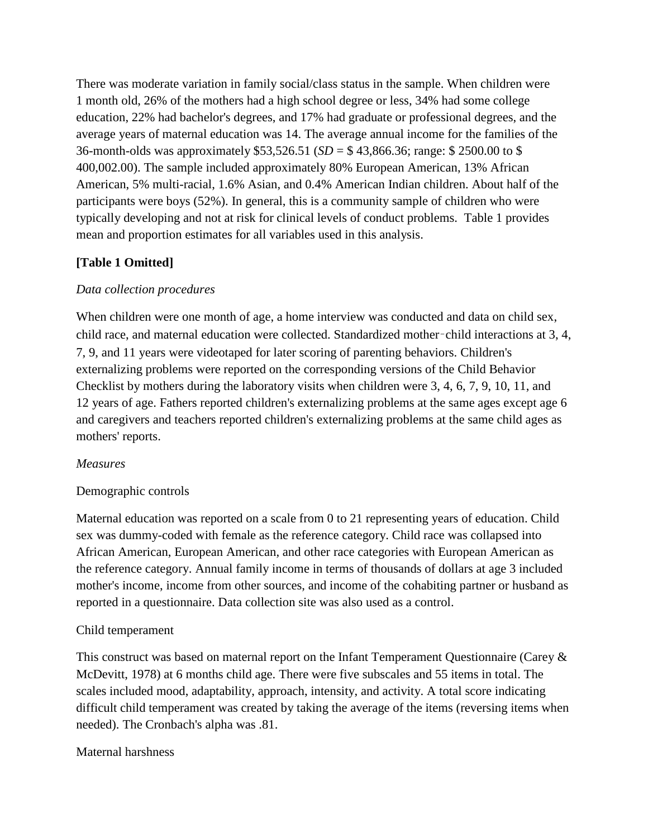There was moderate variation in family social/class status in the sample. When children were 1 month old, 26% of the mothers had a high school degree or less, 34% had some college education, 22% had bachelor's degrees, and 17% had graduate or professional degrees, and the average years of maternal education was 14. The average annual income for the families of the 36-month-olds was approximately \$53,526.51 (*SD* = \$ 43,866.36; range: \$ 2500.00 to \$ 400,002.00). The sample included approximately 80% European American, 13% African American, 5% multi-racial, 1.6% Asian, and 0.4% American Indian children. About half of the participants were boys (52%). In general, this is a community sample of children who were typically developing and not at risk for clinical levels of conduct problems. Table 1 provides mean and proportion estimates for all variables used in this analysis.

# **[Table 1 Omitted]**

# *Data collection procedures*

When children were one month of age, a home interview was conducted and data on child sex, child race, and maternal education were collected. Standardized mother–child interactions at 3, 4, 7, 9, and 11 years were videotaped for later scoring of parenting behaviors. Children's externalizing problems were reported on the corresponding versions of the Child Behavior Checklist by mothers during the laboratory visits when children were 3, 4, 6, 7, 9, 10, 11, and 12 years of age. Fathers reported children's externalizing problems at the same ages except age 6 and caregivers and teachers reported children's externalizing problems at the same child ages as mothers' reports.

# *Measures*

# Demographic controls

Maternal education was reported on a scale from 0 to 21 representing years of education. Child sex was dummy-coded with female as the reference category. Child race was collapsed into African American, European American, and other race categories with European American as the reference category. Annual family income in terms of thousands of dollars at age 3 included mother's income, income from other sources, and income of the cohabiting partner or husband as reported in a questionnaire. Data collection site was also used as a control.

# Child temperament

This construct was based on maternal report on the Infant Temperament Questionnaire (Carey & McDevitt, 1978) at 6 months child age. There were five subscales and 55 items in total. The scales included mood, adaptability, approach, intensity, and activity. A total score indicating difficult child temperament was created by taking the average of the items (reversing items when needed). The Cronbach's alpha was .81.

# Maternal harshness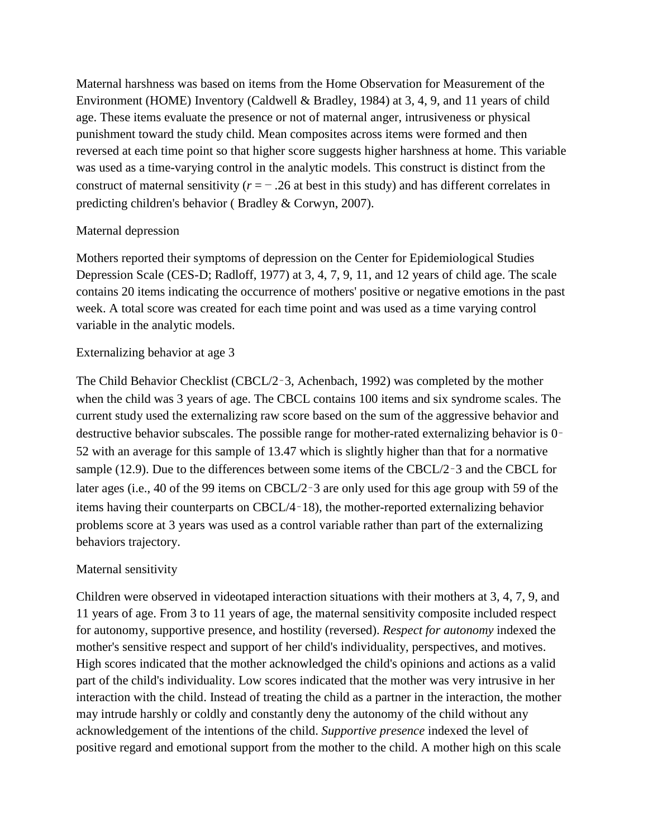Maternal harshness was based on items from the Home Observation for Measurement of the Environment (HOME) Inventory (Caldwell & Bradley, 1984) at 3, 4, 9, and 11 years of child age. These items evaluate the presence or not of maternal anger, intrusiveness or physical punishment toward the study child. Mean composites across items were formed and then reversed at each time point so that higher score suggests higher harshness at home. This variable was used as a time-varying control in the analytic models. This construct is distinct from the construct of maternal sensitivity  $(r = -0.26$  at best in this study) and has different correlates in predicting children's behavior ( Bradley & Corwyn, 2007).

# Maternal depression

Mothers reported their symptoms of depression on the Center for Epidemiological Studies Depression Scale (CES-D; Radloff, 1977) at 3, 4, 7, 9, 11, and 12 years of child age. The scale contains 20 items indicating the occurrence of mothers' positive or negative emotions in the past week. A total score was created for each time point and was used as a time varying control variable in the analytic models.

### Externalizing behavior at age 3

The Child Behavior Checklist (CBCL/2–3, Achenbach, 1992) was completed by the mother when the child was 3 years of age. The CBCL contains 100 items and six syndrome scales. The current study used the externalizing raw score based on the sum of the aggressive behavior and destructive behavior subscales. The possible range for mother-rated externalizing behavior is 0– 52 with an average for this sample of 13.47 which is slightly higher than that for a normative sample (12.9). Due to the differences between some items of the CBCL/2–3 and the CBCL for later ages (i.e., 40 of the 99 items on CBCL/2–3 are only used for this age group with 59 of the items having their counterparts on CBCL/4–18), the mother-reported externalizing behavior problems score at 3 years was used as a control variable rather than part of the externalizing behaviors trajectory.

# Maternal sensitivity

Children were observed in videotaped interaction situations with their mothers at 3, 4, 7, 9, and 11 years of age. From 3 to 11 years of age, the maternal sensitivity composite included respect for autonomy, supportive presence, and hostility (reversed). *Respect for autonomy* indexed the mother's sensitive respect and support of her child's individuality, perspectives, and motives. High scores indicated that the mother acknowledged the child's opinions and actions as a valid part of the child's individuality. Low scores indicated that the mother was very intrusive in her interaction with the child. Instead of treating the child as a partner in the interaction, the mother may intrude harshly or coldly and constantly deny the autonomy of the child without any acknowledgement of the intentions of the child. *Supportive presence* indexed the level of positive regard and emotional support from the mother to the child. A mother high on this scale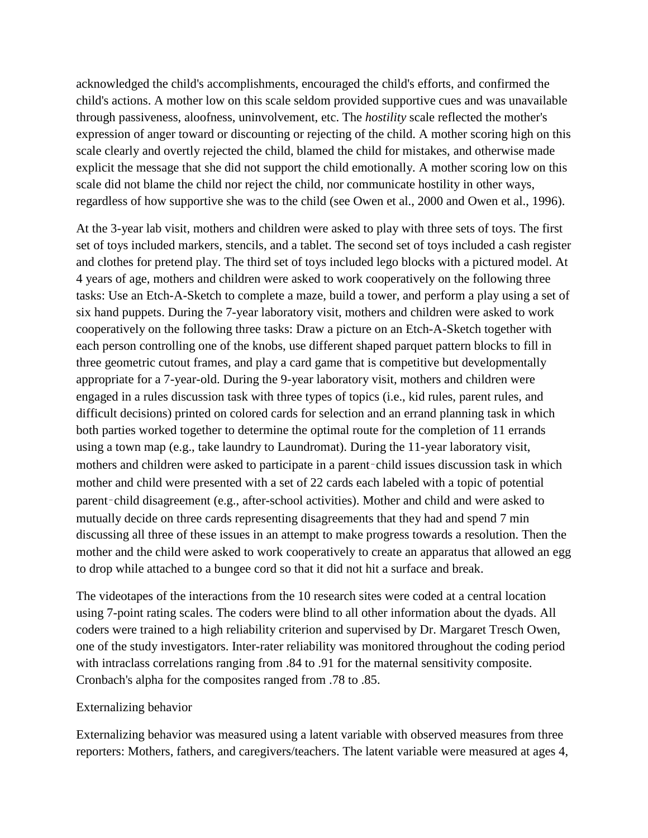acknowledged the child's accomplishments, encouraged the child's efforts, and confirmed the child's actions. A mother low on this scale seldom provided supportive cues and was unavailable through passiveness, aloofness, uninvolvement, etc. The *hostility* scale reflected the mother's expression of anger toward or discounting or rejecting of the child. A mother scoring high on this scale clearly and overtly rejected the child, blamed the child for mistakes, and otherwise made explicit the message that she did not support the child emotionally. A mother scoring low on this scale did not blame the child nor reject the child, nor communicate hostility in other ways, regardless of how supportive she was to the child (see Owen et al., 2000 and Owen et al., 1996).

At the 3-year lab visit, mothers and children were asked to play with three sets of toys. The first set of toys included markers, stencils, and a tablet. The second set of toys included a cash register and clothes for pretend play. The third set of toys included lego blocks with a pictured model. At 4 years of age, mothers and children were asked to work cooperatively on the following three tasks: Use an Etch-A-Sketch to complete a maze, build a tower, and perform a play using a set of six hand puppets. During the 7-year laboratory visit, mothers and children were asked to work cooperatively on the following three tasks: Draw a picture on an Etch-A-Sketch together with each person controlling one of the knobs, use different shaped parquet pattern blocks to fill in three geometric cutout frames, and play a card game that is competitive but developmentally appropriate for a 7-year-old. During the 9-year laboratory visit, mothers and children were engaged in a rules discussion task with three types of topics (i.e., kid rules, parent rules, and difficult decisions) printed on colored cards for selection and an errand planning task in which both parties worked together to determine the optimal route for the completion of 11 errands using a town map (e.g., take laundry to Laundromat). During the 11-year laboratory visit, mothers and children were asked to participate in a parent–child issues discussion task in which mother and child were presented with a set of 22 cards each labeled with a topic of potential parent–child disagreement (e.g., after-school activities). Mother and child and were asked to mutually decide on three cards representing disagreements that they had and spend 7 min discussing all three of these issues in an attempt to make progress towards a resolution. Then the mother and the child were asked to work cooperatively to create an apparatus that allowed an egg to drop while attached to a bungee cord so that it did not hit a surface and break.

The videotapes of the interactions from the 10 research sites were coded at a central location using 7-point rating scales. The coders were blind to all other information about the dyads. All coders were trained to a high reliability criterion and supervised by Dr. Margaret Tresch Owen, one of the study investigators. Inter-rater reliability was monitored throughout the coding period with intraclass correlations ranging from .84 to .91 for the maternal sensitivity composite. Cronbach's alpha for the composites ranged from .78 to .85.

#### Externalizing behavior

Externalizing behavior was measured using a latent variable with observed measures from three reporters: Mothers, fathers, and caregivers/teachers. The latent variable were measured at ages 4,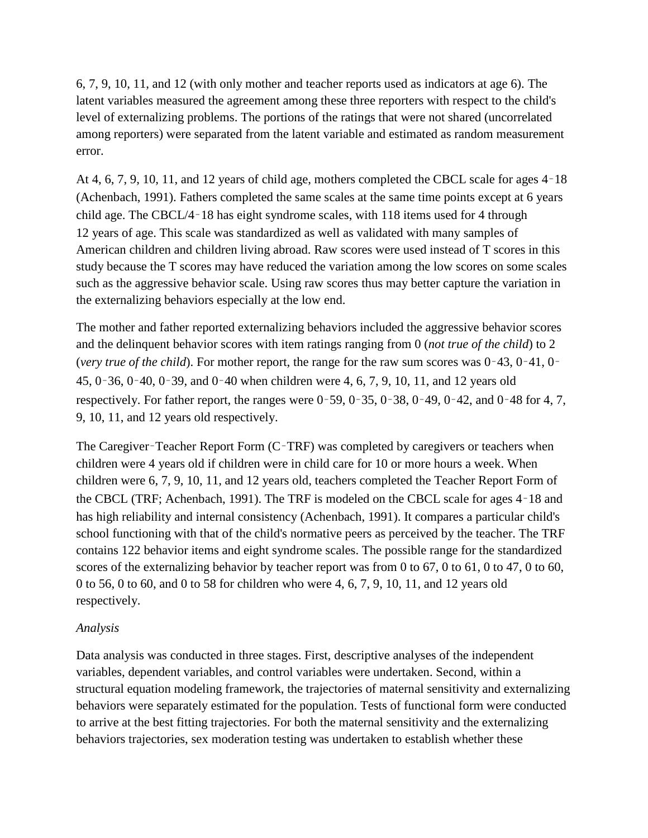6, 7, 9, 10, 11, and 12 (with only mother and teacher reports used as indicators at age 6). The latent variables measured the agreement among these three reporters with respect to the child's level of externalizing problems. The portions of the ratings that were not shared (uncorrelated among reporters) were separated from the latent variable and estimated as random measurement error.

At 4, 6, 7, 9, 10, 11, and 12 years of child age, mothers completed the CBCL scale for ages 4–18 (Achenbach, 1991). Fathers completed the same scales at the same time points except at 6 years child age. The CBCL/4–18 has eight syndrome scales, with 118 items used for 4 through 12 years of age. This scale was standardized as well as validated with many samples of American children and children living abroad. Raw scores were used instead of T scores in this study because the T scores may have reduced the variation among the low scores on some scales such as the aggressive behavior scale. Using raw scores thus may better capture the variation in the externalizing behaviors especially at the low end.

The mother and father reported externalizing behaviors included the aggressive behavior scores and the delinquent behavior scores with item ratings ranging from 0 (*not true of the child*) to 2 (*very true of the child*). For mother report, the range for the raw sum scores was 0–43, 0–41, 0– 45, 0–36, 0–40, 0–39, and 0–40 when children were 4, 6, 7, 9, 10, 11, and 12 years old respectively. For father report, the ranges were 0–59, 0–35, 0–38, 0–49, 0–42, and 0–48 for 4, 7, 9, 10, 11, and 12 years old respectively.

The Caregiver–Teacher Report Form (C–TRF) was completed by caregivers or teachers when children were 4 years old if children were in child care for 10 or more hours a week. When children were 6, 7, 9, 10, 11, and 12 years old, teachers completed the Teacher Report Form of the CBCL (TRF; Achenbach, 1991). The TRF is modeled on the CBCL scale for ages 4–18 and has high reliability and internal consistency (Achenbach, 1991). It compares a particular child's school functioning with that of the child's normative peers as perceived by the teacher. The TRF contains 122 behavior items and eight syndrome scales. The possible range for the standardized scores of the externalizing behavior by teacher report was from 0 to 67, 0 to 61, 0 to 47, 0 to 60, 0 to 56, 0 to 60, and 0 to 58 for children who were 4, 6, 7, 9, 10, 11, and 12 years old respectively.

### *Analysis*

Data analysis was conducted in three stages. First, descriptive analyses of the independent variables, dependent variables, and control variables were undertaken. Second, within a structural equation modeling framework, the trajectories of maternal sensitivity and externalizing behaviors were separately estimated for the population. Tests of functional form were conducted to arrive at the best fitting trajectories. For both the maternal sensitivity and the externalizing behaviors trajectories, sex moderation testing was undertaken to establish whether these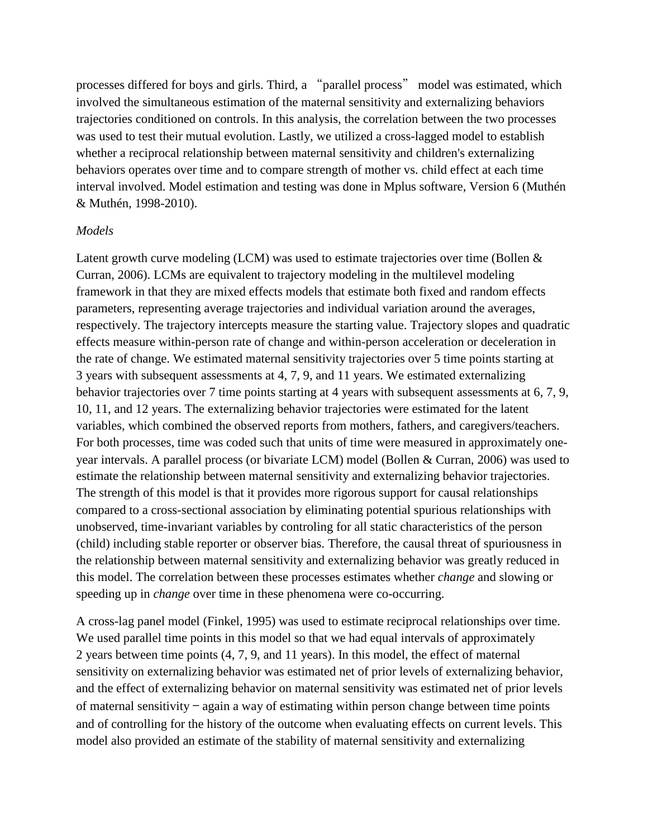processes differed for boys and girls. Third, a "parallel process" model was estimated, which involved the simultaneous estimation of the maternal sensitivity and externalizing behaviors trajectories conditioned on controls. In this analysis, the correlation between the two processes was used to test their mutual evolution. Lastly, we utilized a cross-lagged model to establish whether a reciprocal relationship between maternal sensitivity and children's externalizing behaviors operates over time and to compare strength of mother vs. child effect at each time interval involved. Model estimation and testing was done in Mplus software, Version 6 (Muthén & Muthén, 1998-2010).

#### *Models*

Latent growth curve modeling (LCM) was used to estimate trajectories over time (Bollen & Curran, 2006). LCMs are equivalent to trajectory modeling in the multilevel modeling framework in that they are mixed effects models that estimate both fixed and random effects parameters, representing average trajectories and individual variation around the averages, respectively. The trajectory intercepts measure the starting value. Trajectory slopes and quadratic effects measure within-person rate of change and within-person acceleration or deceleration in the rate of change. We estimated maternal sensitivity trajectories over 5 time points starting at 3 years with subsequent assessments at 4, 7, 9, and 11 years. We estimated externalizing behavior trajectories over 7 time points starting at 4 years with subsequent assessments at 6, 7, 9, 10, 11, and 12 years. The externalizing behavior trajectories were estimated for the latent variables, which combined the observed reports from mothers, fathers, and caregivers/teachers. For both processes, time was coded such that units of time were measured in approximately oneyear intervals. A parallel process (or bivariate LCM) model (Bollen & Curran, 2006) was used to estimate the relationship between maternal sensitivity and externalizing behavior trajectories. The strength of this model is that it provides more rigorous support for causal relationships compared to a cross-sectional association by eliminating potential spurious relationships with unobserved, time-invariant variables by controling for all static characteristics of the person (child) including stable reporter or observer bias. Therefore, the causal threat of spuriousness in the relationship between maternal sensitivity and externalizing behavior was greatly reduced in this model. The correlation between these processes estimates whether *change* and slowing or speeding up in *change* over time in these phenomena were co-occurring.

A cross-lag panel model (Finkel, 1995) was used to estimate reciprocal relationships over time. We used parallel time points in this model so that we had equal intervals of approximately 2 years between time points (4, 7, 9, and 11 years). In this model, the effect of maternal sensitivity on externalizing behavior was estimated net of prior levels of externalizing behavior, and the effect of externalizing behavior on maternal sensitivity was estimated net of prior levels of maternal sensitivity  $-$  again a way of estimating within person change between time points and of controlling for the history of the outcome when evaluating effects on current levels. This model also provided an estimate of the stability of maternal sensitivity and externalizing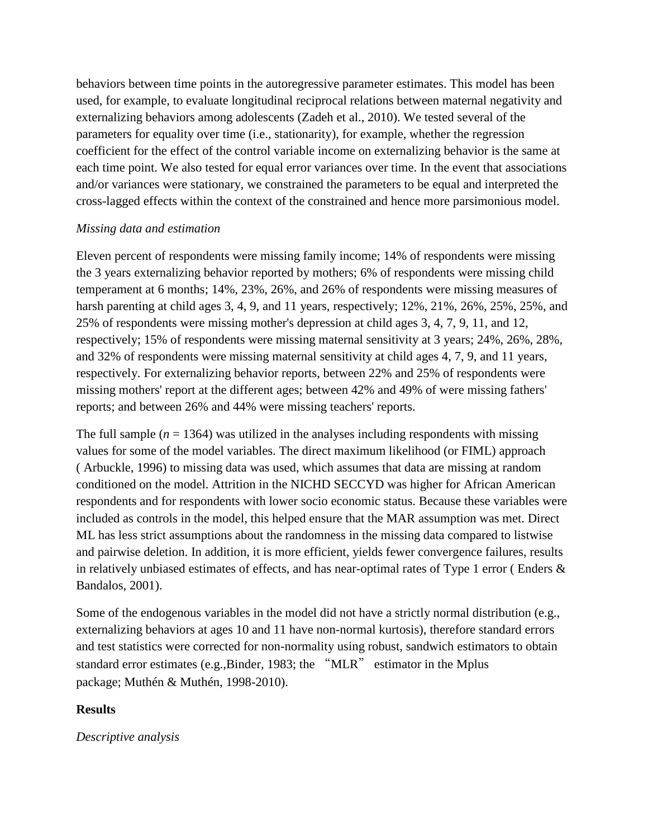behaviors between time points in the autoregressive parameter estimates. This model has been used, for example, to evaluate longitudinal reciprocal relations between maternal negativity and externalizing behaviors among adolescents (Zadeh et al., 2010). We tested several of the parameters for equality over time (i.e., stationarity), for example, whether the regression coefficient for the effect of the control variable income on externalizing behavior is the same at each time point. We also tested for equal error variances over time. In the event that associations and/or variances were stationary, we constrained the parameters to be equal and interpreted the cross-lagged effects within the context of the constrained and hence more parsimonious model.

### *Missing data and estimation*

Eleven percent of respondents were missing family income; 14% of respondents were missing the 3 years externalizing behavior reported by mothers; 6% of respondents were missing child temperament at 6 months; 14%, 23%, 26%, and 26% of respondents were missing measures of harsh parenting at child ages 3, 4, 9, and 11 years, respectively; 12%, 21%, 26%, 25%, 25%, and 25% of respondents were missing mother's depression at child ages 3, 4, 7, 9, 11, and 12, respectively; 15% of respondents were missing maternal sensitivity at 3 years; 24%, 26%, 28%, and 32% of respondents were missing maternal sensitivity at child ages 4, 7, 9, and 11 years, respectively. For externalizing behavior reports, between 22% and 25% of respondents were missing mothers' report at the different ages; between 42% and 49% of were missing fathers' reports; and between 26% and 44% were missing teachers' reports.

The full sample  $(n = 1364)$  was utilized in the analyses including respondents with missing values for some of the model variables. The direct maximum likelihood (or FIML) approach ( Arbuckle, 1996) to missing data was used, which assumes that data are missing at random conditioned on the model. Attrition in the NICHD SECCYD was higher for African American respondents and for respondents with lower socio economic status. Because these variables were included as controls in the model, this helped ensure that the MAR assumption was met. Direct ML has less strict assumptions about the randomness in the missing data compared to listwise and pairwise deletion. In addition, it is more efficient, yields fewer convergence failures, results in relatively unbiased estimates of effects, and has near-optimal rates of Type 1 error ( Enders & Bandalos, 2001).

Some of the endogenous variables in the model did not have a strictly normal distribution (e.g., externalizing behaviors at ages 10 and 11 have non-normal kurtosis), therefore standard errors and test statistics were corrected for non-normality using robust, sandwich estimators to obtain standard error estimates (e.g.,Binder, 1983; the "MLR" estimator in the Mplus package; Muthén & Muthén, 1998-2010).

# **Results**

*Descriptive analysis*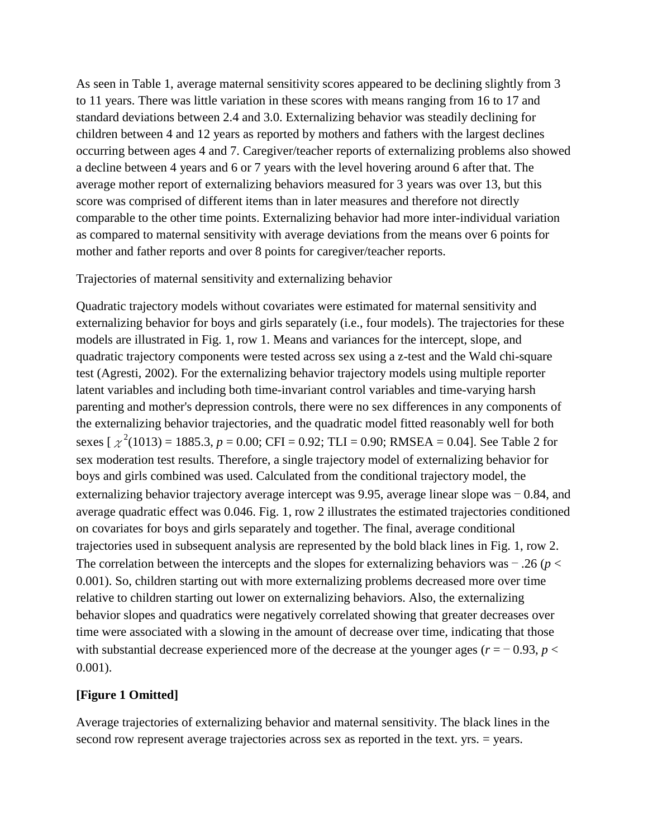As seen in Table 1, average maternal sensitivity scores appeared to be declining slightly from 3 to 11 years. There was little variation in these scores with means ranging from 16 to 17 and standard deviations between 2.4 and 3.0. Externalizing behavior was steadily declining for children between 4 and 12 years as reported by mothers and fathers with the largest declines occurring between ages 4 and 7. Caregiver/teacher reports of externalizing problems also showed a decline between 4 years and 6 or 7 years with the level hovering around 6 after that. The average mother report of externalizing behaviors measured for 3 years was over 13, but this score was comprised of different items than in later measures and therefore not directly comparable to the other time points. Externalizing behavior had more inter-individual variation as compared to maternal sensitivity with average deviations from the means over 6 points for mother and father reports and over 8 points for caregiver/teacher reports.

### Trajectories of maternal sensitivity and externalizing behavior

Quadratic trajectory models without covariates were estimated for maternal sensitivity and externalizing behavior for boys and girls separately (i.e., four models). The trajectories for these models are illustrated in Fig. 1, row 1. Means and variances for the intercept, slope, and quadratic trajectory components were tested across sex using a z-test and the Wald chi-square test (Agresti, 2002). For the externalizing behavior trajectory models using multiple reporter latent variables and including both time-invariant control variables and time-varying harsh parenting and mother's depression controls, there were no sex differences in any components of the externalizing behavior trajectories, and the quadratic model fitted reasonably well for both sexes  $\left[\chi^2(1013) = 1885.3, p = 0.00; CFI = 0.92; TLI = 0.90; RMSEA = 0.04\right]$ . See Table 2 for sex moderation test results. Therefore, a single trajectory model of externalizing behavior for boys and girls combined was used. Calculated from the conditional trajectory model, the externalizing behavior trajectory average intercept was 9.95, average linear slope was − 0.84, and average quadratic effect was 0.046. Fig. 1, row 2 illustrates the estimated trajectories conditioned on covariates for boys and girls separately and together. The final, average conditional trajectories used in subsequent analysis are represented by the bold black lines in Fig. 1, row 2. The correlation between the intercepts and the slopes for externalizing behaviors was − .26 (*p* < 0.001). So, children starting out with more externalizing problems decreased more over time relative to children starting out lower on externalizing behaviors. Also, the externalizing behavior slopes and quadratics were negatively correlated showing that greater decreases over time were associated with a slowing in the amount of decrease over time, indicating that those with substantial decrease experienced more of the decrease at the younger ages ( $r = -0.93$ ,  $p <$ 0.001).

# **[Figure 1 Omitted]**

Average trajectories of externalizing behavior and maternal sensitivity. The black lines in the second row represent average trajectories across sex as reported in the text. yrs. = years.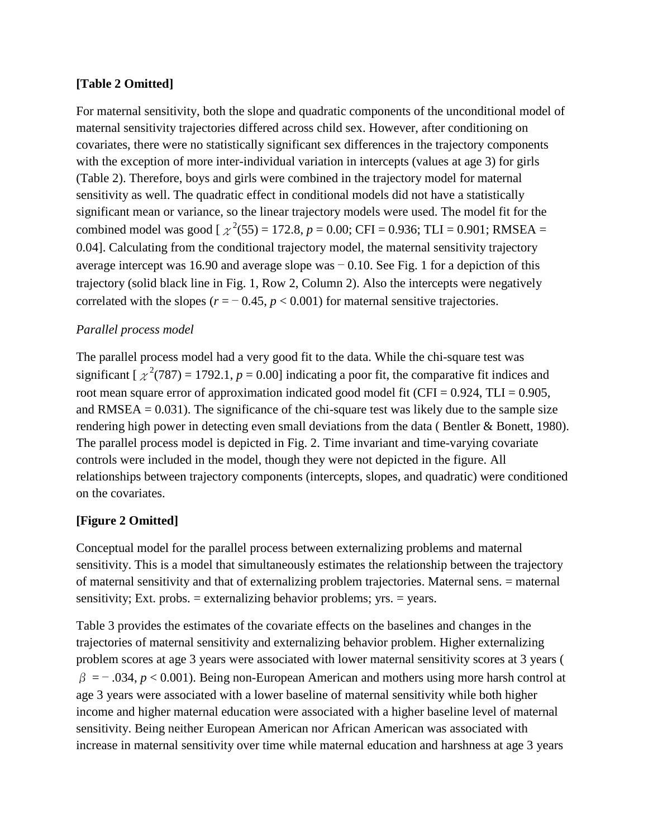# **[Table 2 Omitted]**

For maternal sensitivity, both the slope and quadratic components of the unconditional model of maternal sensitivity trajectories differed across child sex. However, after conditioning on covariates, there were no statistically significant sex differences in the trajectory components with the exception of more inter-individual variation in intercepts (values at age 3) for girls (Table 2). Therefore, boys and girls were combined in the trajectory model for maternal sensitivity as well. The quadratic effect in conditional models did not have a statistically significant mean or variance, so the linear trajectory models were used. The model fit for the combined model was good [ $\chi^2$ (55) = 172.8, *p* = 0.00; CFI = 0.936; TLI = 0.901; RMSEA = 0.04]. Calculating from the conditional trajectory model, the maternal sensitivity trajectory average intercept was 16.90 and average slope was − 0.10. See Fig. 1 for a depiction of this trajectory (solid black line in Fig. 1, Row 2, Column 2). Also the intercepts were negatively correlated with the slopes ( $r = -0.45$ ,  $p < 0.001$ ) for maternal sensitive trajectories.

# *Parallel process model*

The parallel process model had a very good fit to the data. While the chi-square test was significant  $[\chi^2(787) = 1792.1, p = 0.00]$  indicating a poor fit, the comparative fit indices and root mean square error of approximation indicated good model fit (CFI =  $0.924$ , TLI =  $0.905$ , and RMSEA  $= 0.031$ ). The significance of the chi-square test was likely due to the sample size rendering high power in detecting even small deviations from the data ( Bentler & Bonett, 1980). The parallel process model is depicted in Fig. 2. Time invariant and time-varying covariate controls were included in the model, though they were not depicted in the figure. All relationships between trajectory components (intercepts, slopes, and quadratic) were conditioned on the covariates.

# **[Figure 2 Omitted]**

Conceptual model for the parallel process between externalizing problems and maternal sensitivity. This is a model that simultaneously estimates the relationship between the trajectory of maternal sensitivity and that of externalizing problem trajectories. Maternal sens. = maternal sensitivity; Ext. probs.  $=$  externalizing behavior problems; yrs.  $=$  years.

Table 3 provides the estimates of the covariate effects on the baselines and changes in the trajectories of maternal sensitivity and externalizing behavior problem. Higher externalizing problem scores at age 3 years were associated with lower maternal sensitivity scores at 3 years (  $\beta = -0.034$ ,  $p < 0.001$ ). Being non-European American and mothers using more harsh control at age 3 years were associated with a lower baseline of maternal sensitivity while both higher income and higher maternal education were associated with a higher baseline level of maternal sensitivity. Being neither European American nor African American was associated with increase in maternal sensitivity over time while maternal education and harshness at age 3 years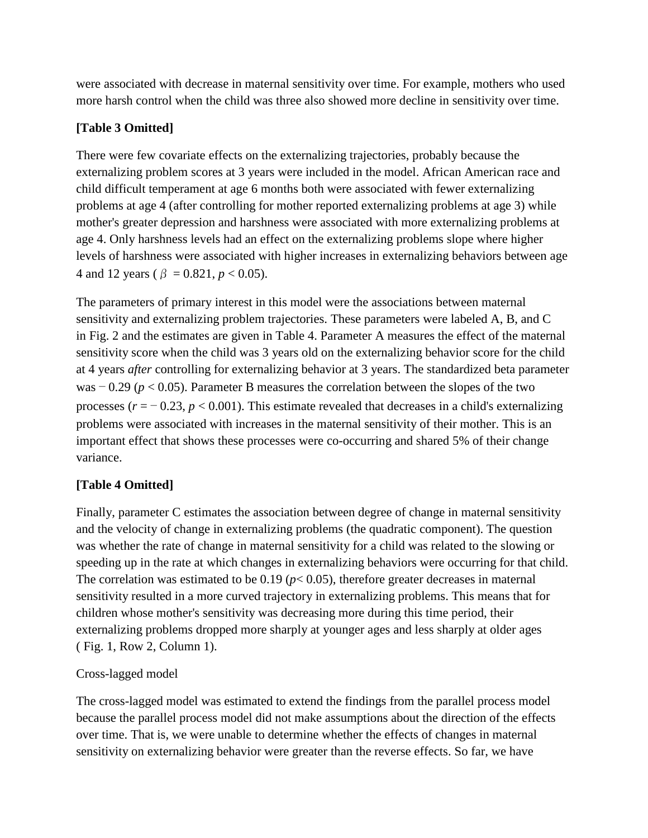were associated with decrease in maternal sensitivity over time. For example, mothers who used more harsh control when the child was three also showed more decline in sensitivity over time.

# **[Table 3 Omitted]**

There were few covariate effects on the externalizing trajectories, probably because the externalizing problem scores at 3 years were included in the model. African American race and child difficult temperament at age 6 months both were associated with fewer externalizing problems at age 4 (after controlling for mother reported externalizing problems at age 3) while mother's greater depression and harshness were associated with more externalizing problems at age 4. Only harshness levels had an effect on the externalizing problems slope where higher levels of harshness were associated with higher increases in externalizing behaviors between age 4 and 12 years ( $\beta = 0.821$ ,  $p < 0.05$ ).

The parameters of primary interest in this model were the associations between maternal sensitivity and externalizing problem trajectories. These parameters were labeled A, B, and C in Fig. 2 and the estimates are given in Table 4. Parameter A measures the effect of the maternal sensitivity score when the child was 3 years old on the externalizing behavior score for the child at 4 years *after* controlling for externalizing behavior at 3 years. The standardized beta parameter was − 0.29 (*p* < 0.05). Parameter B measures the correlation between the slopes of the two processes  $(r = -0.23, p < 0.001)$ . This estimate revealed that decreases in a child's externalizing problems were associated with increases in the maternal sensitivity of their mother. This is an important effect that shows these processes were co-occurring and shared 5% of their change variance.

# **[Table 4 Omitted]**

Finally, parameter C estimates the association between degree of change in maternal sensitivity and the velocity of change in externalizing problems (the quadratic component). The question was whether the rate of change in maternal sensitivity for a child was related to the slowing or speeding up in the rate at which changes in externalizing behaviors were occurring for that child. The correlation was estimated to be  $0.19$  ( $p < 0.05$ ), therefore greater decreases in maternal sensitivity resulted in a more curved trajectory in externalizing problems. This means that for children whose mother's sensitivity was decreasing more during this time period, their externalizing problems dropped more sharply at younger ages and less sharply at older ages ( Fig. 1, Row 2, Column 1).

# Cross-lagged model

The cross-lagged model was estimated to extend the findings from the parallel process model because the parallel process model did not make assumptions about the direction of the effects over time. That is, we were unable to determine whether the effects of changes in maternal sensitivity on externalizing behavior were greater than the reverse effects. So far, we have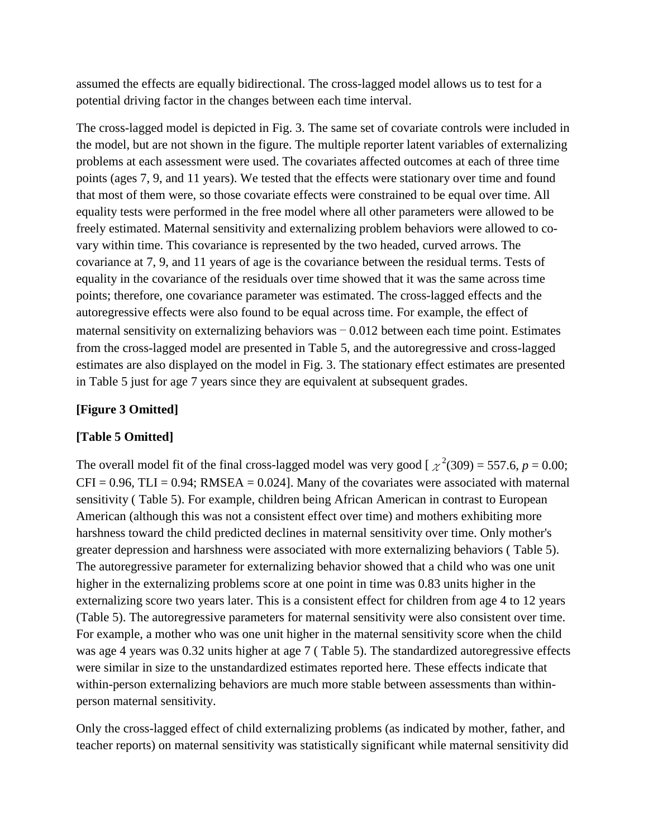assumed the effects are equally bidirectional. The cross-lagged model allows us to test for a potential driving factor in the changes between each time interval.

The cross-lagged model is depicted in Fig. 3. The same set of covariate controls were included in the model, but are not shown in the figure. The multiple reporter latent variables of externalizing problems at each assessment were used. The covariates affected outcomes at each of three time points (ages 7, 9, and 11 years). We tested that the effects were stationary over time and found that most of them were, so those covariate effects were constrained to be equal over time. All equality tests were performed in the free model where all other parameters were allowed to be freely estimated. Maternal sensitivity and externalizing problem behaviors were allowed to covary within time. This covariance is represented by the two headed, curved arrows. The covariance at 7, 9, and 11 years of age is the covariance between the residual terms. Tests of equality in the covariance of the residuals over time showed that it was the same across time points; therefore, one covariance parameter was estimated. The cross-lagged effects and the autoregressive effects were also found to be equal across time. For example, the effect of maternal sensitivity on externalizing behaviors was − 0.012 between each time point. Estimates from the cross-lagged model are presented in Table 5, and the autoregressive and cross-lagged estimates are also displayed on the model in Fig. 3. The stationary effect estimates are presented in Table 5 just for age 7 years since they are equivalent at subsequent grades.

# **[Figure 3 Omitted]**

# **[Table 5 Omitted]**

The overall model fit of the final cross-lagged model was very good [ $\chi^2(309) = 557.6$ ,  $p = 0.00$ ;  $CFI = 0.96$ ,  $TLI = 0.94$ ; RMSEA = 0.024]. Many of the covariates were associated with maternal sensitivity ( Table 5). For example, children being African American in contrast to European American (although this was not a consistent effect over time) and mothers exhibiting more harshness toward the child predicted declines in maternal sensitivity over time. Only mother's greater depression and harshness were associated with more externalizing behaviors ( Table 5). The autoregressive parameter for externalizing behavior showed that a child who was one unit higher in the externalizing problems score at one point in time was 0.83 units higher in the externalizing score two years later. This is a consistent effect for children from age 4 to 12 years (Table 5). The autoregressive parameters for maternal sensitivity were also consistent over time. For example, a mother who was one unit higher in the maternal sensitivity score when the child was age 4 years was 0.32 units higher at age 7 ( Table 5). The standardized autoregressive effects were similar in size to the unstandardized estimates reported here. These effects indicate that within-person externalizing behaviors are much more stable between assessments than withinperson maternal sensitivity.

Only the cross-lagged effect of child externalizing problems (as indicated by mother, father, and teacher reports) on maternal sensitivity was statistically significant while maternal sensitivity did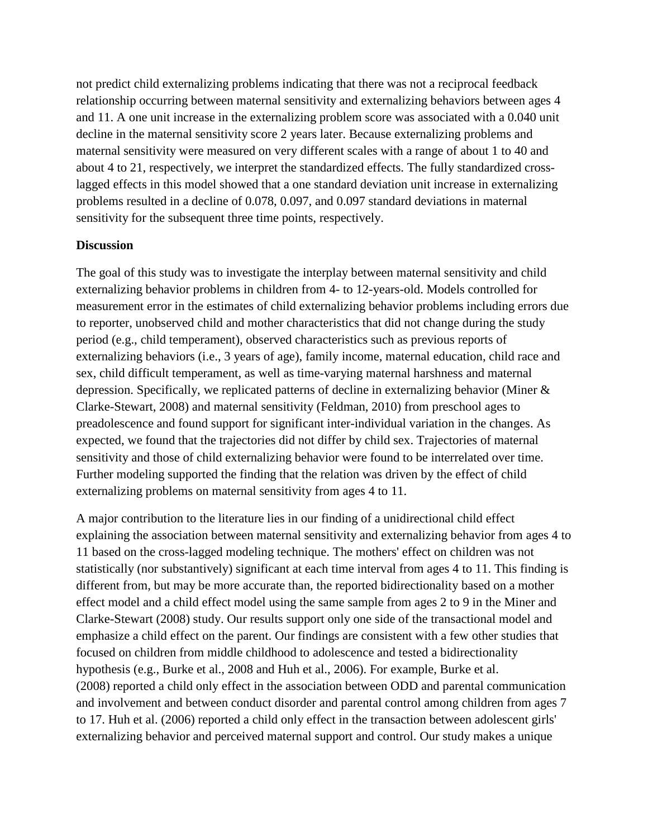not predict child externalizing problems indicating that there was not a reciprocal feedback relationship occurring between maternal sensitivity and externalizing behaviors between ages 4 and 11. A one unit increase in the externalizing problem score was associated with a 0.040 unit decline in the maternal sensitivity score 2 years later. Because externalizing problems and maternal sensitivity were measured on very different scales with a range of about 1 to 40 and about 4 to 21, respectively, we interpret the standardized effects. The fully standardized crosslagged effects in this model showed that a one standard deviation unit increase in externalizing problems resulted in a decline of 0.078, 0.097, and 0.097 standard deviations in maternal sensitivity for the subsequent three time points, respectively.

### **Discussion**

The goal of this study was to investigate the interplay between maternal sensitivity and child externalizing behavior problems in children from 4- to 12-years-old. Models controlled for measurement error in the estimates of child externalizing behavior problems including errors due to reporter, unobserved child and mother characteristics that did not change during the study period (e.g., child temperament), observed characteristics such as previous reports of externalizing behaviors (i.e., 3 years of age), family income, maternal education, child race and sex, child difficult temperament, as well as time-varying maternal harshness and maternal depression. Specifically, we replicated patterns of decline in externalizing behavior (Miner & Clarke-Stewart, 2008) and maternal sensitivity (Feldman, 2010) from preschool ages to preadolescence and found support for significant inter-individual variation in the changes. As expected, we found that the trajectories did not differ by child sex. Trajectories of maternal sensitivity and those of child externalizing behavior were found to be interrelated over time. Further modeling supported the finding that the relation was driven by the effect of child externalizing problems on maternal sensitivity from ages 4 to 11.

A major contribution to the literature lies in our finding of a unidirectional child effect explaining the association between maternal sensitivity and externalizing behavior from ages 4 to 11 based on the cross-lagged modeling technique. The mothers' effect on children was not statistically (nor substantively) significant at each time interval from ages 4 to 11. This finding is different from, but may be more accurate than, the reported bidirectionality based on a mother effect model and a child effect model using the same sample from ages 2 to 9 in the Miner and Clarke-Stewart (2008) study. Our results support only one side of the transactional model and emphasize a child effect on the parent. Our findings are consistent with a few other studies that focused on children from middle childhood to adolescence and tested a bidirectionality hypothesis (e.g., Burke et al., 2008 and Huh et al., 2006). For example, Burke et al. (2008) reported a child only effect in the association between ODD and parental communication and involvement and between conduct disorder and parental control among children from ages 7 to 17. Huh et al. (2006) reported a child only effect in the transaction between adolescent girls' externalizing behavior and perceived maternal support and control. Our study makes a unique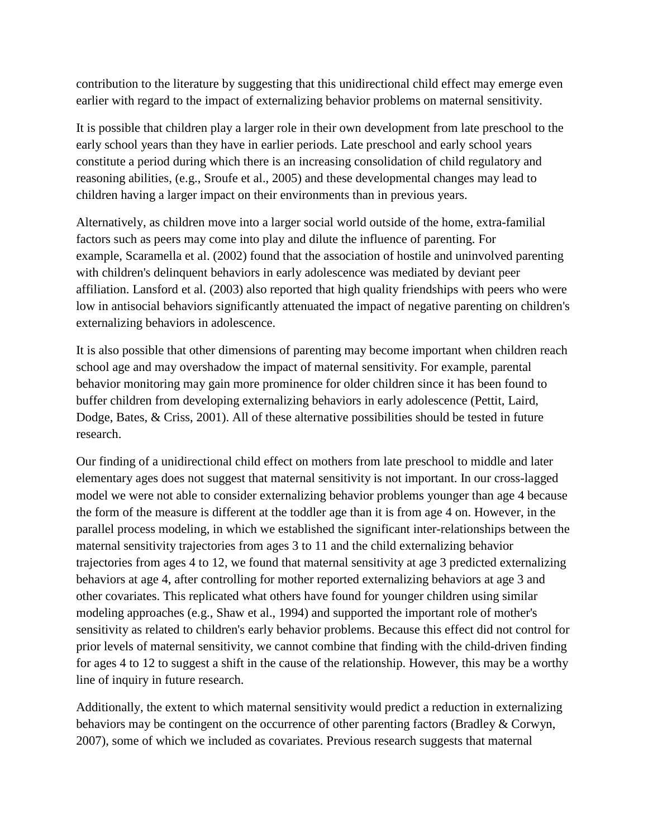contribution to the literature by suggesting that this unidirectional child effect may emerge even earlier with regard to the impact of externalizing behavior problems on maternal sensitivity.

It is possible that children play a larger role in their own development from late preschool to the early school years than they have in earlier periods. Late preschool and early school years constitute a period during which there is an increasing consolidation of child regulatory and reasoning abilities, (e.g., Sroufe et al., 2005) and these developmental changes may lead to children having a larger impact on their environments than in previous years.

Alternatively, as children move into a larger social world outside of the home, extra-familial factors such as peers may come into play and dilute the influence of parenting. For example, Scaramella et al. (2002) found that the association of hostile and uninvolved parenting with children's delinquent behaviors in early adolescence was mediated by deviant peer affiliation. Lansford et al. (2003) also reported that high quality friendships with peers who were low in antisocial behaviors significantly attenuated the impact of negative parenting on children's externalizing behaviors in adolescence.

It is also possible that other dimensions of parenting may become important when children reach school age and may overshadow the impact of maternal sensitivity. For example, parental behavior monitoring may gain more prominence for older children since it has been found to buffer children from developing externalizing behaviors in early adolescence (Pettit, Laird, Dodge, Bates, & Criss, 2001). All of these alternative possibilities should be tested in future research.

Our finding of a unidirectional child effect on mothers from late preschool to middle and later elementary ages does not suggest that maternal sensitivity is not important. In our cross-lagged model we were not able to consider externalizing behavior problems younger than age 4 because the form of the measure is different at the toddler age than it is from age 4 on. However, in the parallel process modeling, in which we established the significant inter-relationships between the maternal sensitivity trajectories from ages 3 to 11 and the child externalizing behavior trajectories from ages 4 to 12, we found that maternal sensitivity at age 3 predicted externalizing behaviors at age 4, after controlling for mother reported externalizing behaviors at age 3 and other covariates. This replicated what others have found for younger children using similar modeling approaches (e.g., Shaw et al., 1994) and supported the important role of mother's sensitivity as related to children's early behavior problems. Because this effect did not control for prior levels of maternal sensitivity, we cannot combine that finding with the child-driven finding for ages 4 to 12 to suggest a shift in the cause of the relationship. However, this may be a worthy line of inquiry in future research.

Additionally, the extent to which maternal sensitivity would predict a reduction in externalizing behaviors may be contingent on the occurrence of other parenting factors (Bradley & Corwyn, 2007), some of which we included as covariates. Previous research suggests that maternal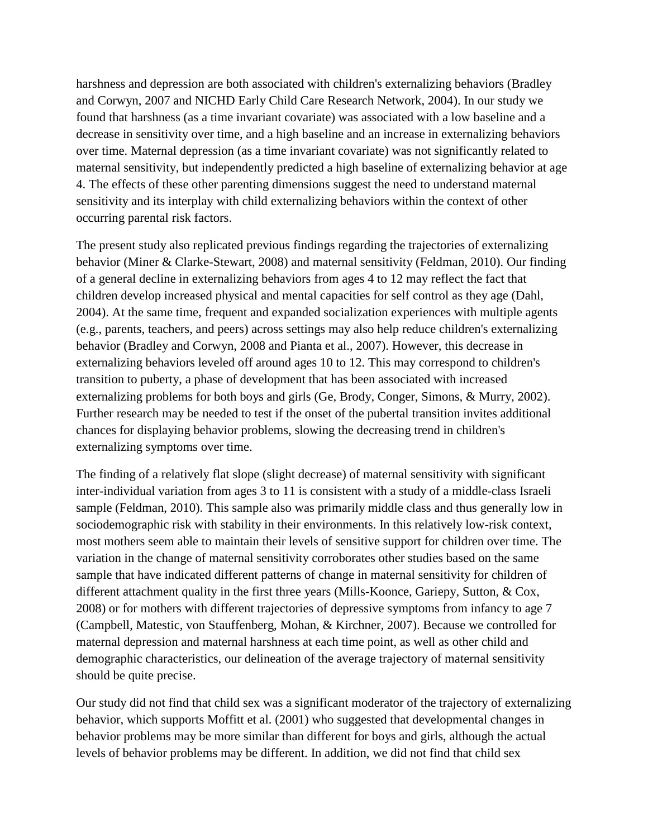harshness and depression are both associated with children's externalizing behaviors (Bradley and Corwyn, 2007 and NICHD Early Child Care Research Network, 2004). In our study we found that harshness (as a time invariant covariate) was associated with a low baseline and a decrease in sensitivity over time, and a high baseline and an increase in externalizing behaviors over time. Maternal depression (as a time invariant covariate) was not significantly related to maternal sensitivity, but independently predicted a high baseline of externalizing behavior at age 4. The effects of these other parenting dimensions suggest the need to understand maternal sensitivity and its interplay with child externalizing behaviors within the context of other occurring parental risk factors.

The present study also replicated previous findings regarding the trajectories of externalizing behavior (Miner & Clarke-Stewart, 2008) and maternal sensitivity (Feldman, 2010). Our finding of a general decline in externalizing behaviors from ages 4 to 12 may reflect the fact that children develop increased physical and mental capacities for self control as they age (Dahl, 2004). At the same time, frequent and expanded socialization experiences with multiple agents (e.g., parents, teachers, and peers) across settings may also help reduce children's externalizing behavior (Bradley and Corwyn, 2008 and Pianta et al., 2007). However, this decrease in externalizing behaviors leveled off around ages 10 to 12. This may correspond to children's transition to puberty, a phase of development that has been associated with increased externalizing problems for both boys and girls (Ge, Brody, Conger, Simons, & Murry, 2002). Further research may be needed to test if the onset of the pubertal transition invites additional chances for displaying behavior problems, slowing the decreasing trend in children's externalizing symptoms over time.

The finding of a relatively flat slope (slight decrease) of maternal sensitivity with significant inter-individual variation from ages 3 to 11 is consistent with a study of a middle-class Israeli sample (Feldman, 2010). This sample also was primarily middle class and thus generally low in sociodemographic risk with stability in their environments. In this relatively low-risk context, most mothers seem able to maintain their levels of sensitive support for children over time. The variation in the change of maternal sensitivity corroborates other studies based on the same sample that have indicated different patterns of change in maternal sensitivity for children of different attachment quality in the first three years (Mills-Koonce, Gariepy, Sutton, & Cox, 2008) or for mothers with different trajectories of depressive symptoms from infancy to age 7 (Campbell, Matestic, von Stauffenberg, Mohan, & Kirchner, 2007). Because we controlled for maternal depression and maternal harshness at each time point, as well as other child and demographic characteristics, our delineation of the average trajectory of maternal sensitivity should be quite precise.

Our study did not find that child sex was a significant moderator of the trajectory of externalizing behavior, which supports Moffitt et al. (2001) who suggested that developmental changes in behavior problems may be more similar than different for boys and girls, although the actual levels of behavior problems may be different. In addition, we did not find that child sex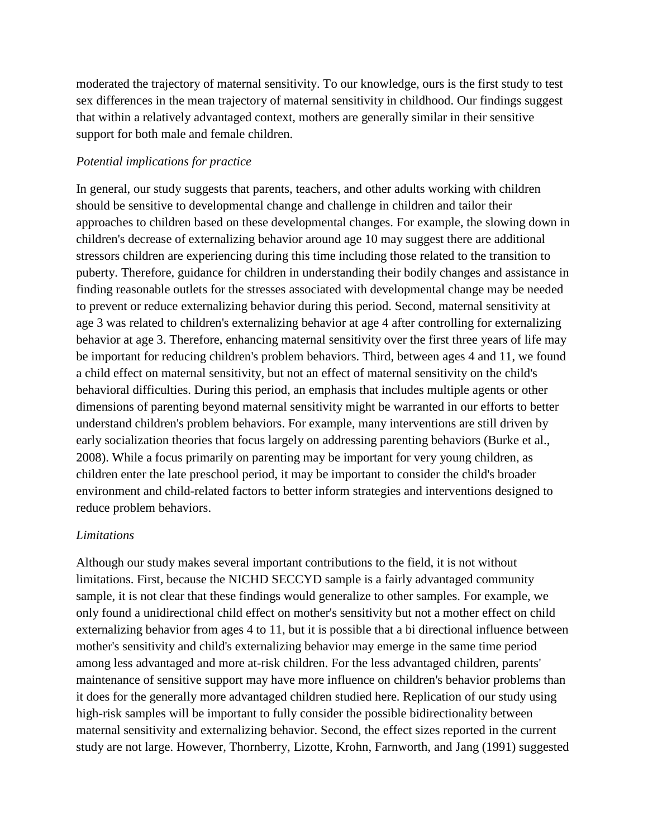moderated the trajectory of maternal sensitivity. To our knowledge, ours is the first study to test sex differences in the mean trajectory of maternal sensitivity in childhood. Our findings suggest that within a relatively advantaged context, mothers are generally similar in their sensitive support for both male and female children.

### *Potential implications for practice*

In general, our study suggests that parents, teachers, and other adults working with children should be sensitive to developmental change and challenge in children and tailor their approaches to children based on these developmental changes. For example, the slowing down in children's decrease of externalizing behavior around age 10 may suggest there are additional stressors children are experiencing during this time including those related to the transition to puberty. Therefore, guidance for children in understanding their bodily changes and assistance in finding reasonable outlets for the stresses associated with developmental change may be needed to prevent or reduce externalizing behavior during this period. Second, maternal sensitivity at age 3 was related to children's externalizing behavior at age 4 after controlling for externalizing behavior at age 3. Therefore, enhancing maternal sensitivity over the first three years of life may be important for reducing children's problem behaviors. Third, between ages 4 and 11, we found a child effect on maternal sensitivity, but not an effect of maternal sensitivity on the child's behavioral difficulties. During this period, an emphasis that includes multiple agents or other dimensions of parenting beyond maternal sensitivity might be warranted in our efforts to better understand children's problem behaviors. For example, many interventions are still driven by early socialization theories that focus largely on addressing parenting behaviors (Burke et al., 2008). While a focus primarily on parenting may be important for very young children, as children enter the late preschool period, it may be important to consider the child's broader environment and child-related factors to better inform strategies and interventions designed to reduce problem behaviors.

# *Limitations*

Although our study makes several important contributions to the field, it is not without limitations. First, because the NICHD SECCYD sample is a fairly advantaged community sample, it is not clear that these findings would generalize to other samples. For example, we only found a unidirectional child effect on mother's sensitivity but not a mother effect on child externalizing behavior from ages 4 to 11, but it is possible that a bi directional influence between mother's sensitivity and child's externalizing behavior may emerge in the same time period among less advantaged and more at-risk children. For the less advantaged children, parents' maintenance of sensitive support may have more influence on children's behavior problems than it does for the generally more advantaged children studied here. Replication of our study using high-risk samples will be important to fully consider the possible bidirectionality between maternal sensitivity and externalizing behavior. Second, the effect sizes reported in the current study are not large. However, Thornberry, Lizotte, Krohn, Farnworth, and Jang (1991) suggested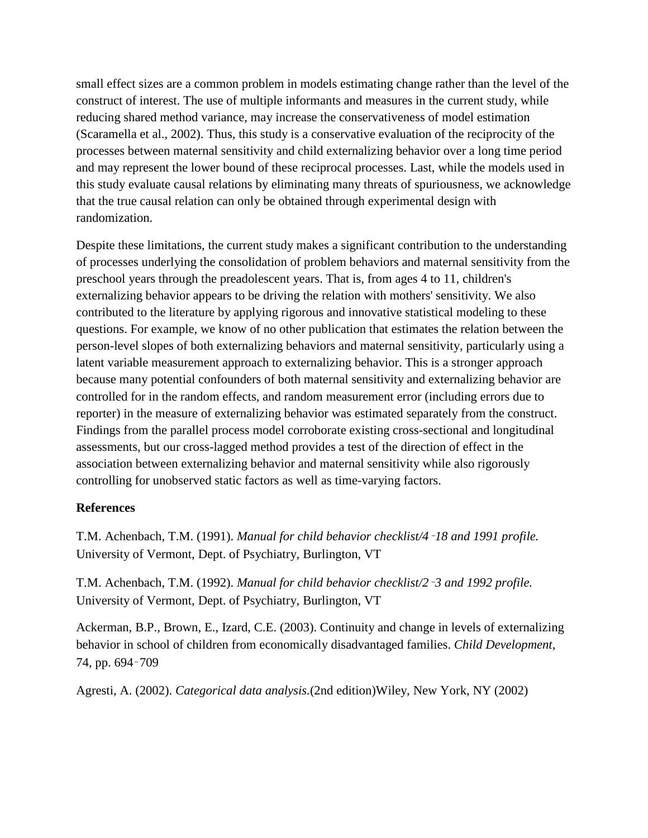small effect sizes are a common problem in models estimating change rather than the level of the construct of interest. The use of multiple informants and measures in the current study, while reducing shared method variance, may increase the conservativeness of model estimation (Scaramella et al., 2002). Thus, this study is a conservative evaluation of the reciprocity of the processes between maternal sensitivity and child externalizing behavior over a long time period and may represent the lower bound of these reciprocal processes. Last, while the models used in this study evaluate causal relations by eliminating many threats of spuriousness, we acknowledge that the true causal relation can only be obtained through experimental design with randomization.

Despite these limitations, the current study makes a significant contribution to the understanding of processes underlying the consolidation of problem behaviors and maternal sensitivity from the preschool years through the preadolescent years. That is, from ages 4 to 11, children's externalizing behavior appears to be driving the relation with mothers' sensitivity. We also contributed to the literature by applying rigorous and innovative statistical modeling to these questions. For example, we know of no other publication that estimates the relation between the person-level slopes of both externalizing behaviors and maternal sensitivity, particularly using a latent variable measurement approach to externalizing behavior. This is a stronger approach because many potential confounders of both maternal sensitivity and externalizing behavior are controlled for in the random effects, and random measurement error (including errors due to reporter) in the measure of externalizing behavior was estimated separately from the construct. Findings from the parallel process model corroborate existing cross-sectional and longitudinal assessments, but our cross-lagged method provides a test of the direction of effect in the association between externalizing behavior and maternal sensitivity while also rigorously controlling for unobserved static factors as well as time-varying factors.

### **References**

T.M. Achenbach, T.M. (1991). *Manual for child behavior checklist/4*–*18 and 1991 profile.*  University of Vermont, Dept. of Psychiatry, Burlington, VT

T.M. Achenbach, T.M. (1992). *Manual for child behavior checklist/2*–*3 and 1992 profile.* University of Vermont, Dept. of Psychiatry, Burlington, VT

Ackerman, B.P., Brown, E., Izard, C.E. (2003). Continuity and change in levels of externalizing behavior in school of children from economically disadvantaged families. *Child Development*, 74, pp. 694–709

Agresti, A. (2002). *Categorical data analysis.*(2nd edition)Wiley, New York, NY (2002)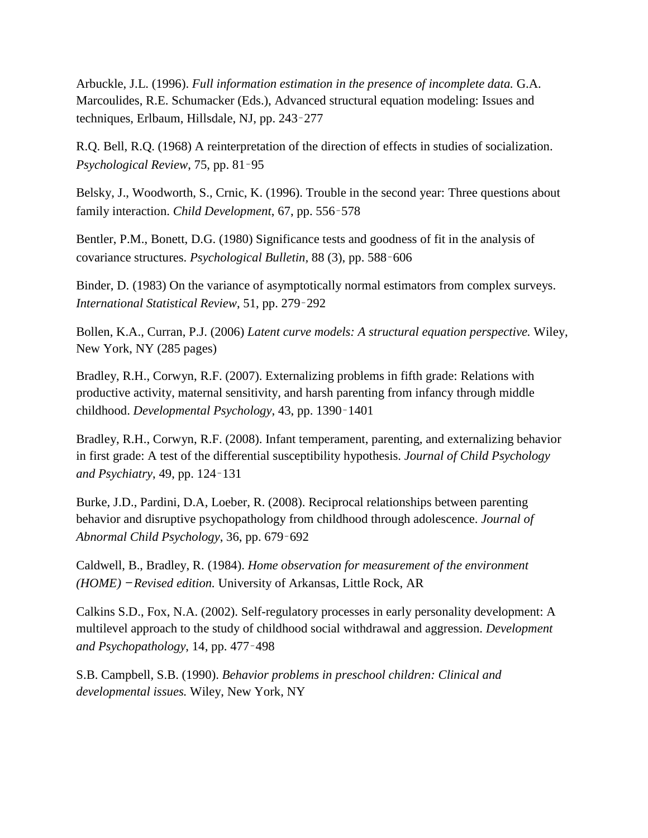Arbuckle, J.L. (1996). *Full information estimation in the presence of incomplete data.* G.A. Marcoulides, R.E. Schumacker (Eds.), Advanced structural equation modeling: Issues and techniques, Erlbaum, Hillsdale, NJ, pp. 243–277

R.Q. Bell, R.Q. (1968) A reinterpretation of the direction of effects in studies of socialization. *Psychological Review*, 75, pp. 81–95

Belsky, J., Woodworth, S., Crnic, K. (1996). Trouble in the second year: Three questions about family interaction. *Child Development*, 67, pp. 556–578

Bentler, P.M., Bonett, D.G. (1980) Significance tests and goodness of fit in the analysis of covariance structures. *Psychological Bulletin,* 88 (3), pp. 588–606

Binder, D. (1983) On the variance of asymptotically normal estimators from complex surveys. *International Statistical Review*, 51, pp. 279–292

Bollen, K.A., Curran, P.J. (2006) *Latent curve models: A structural equation perspective.* Wiley, New York, NY (285 pages)

Bradley, R.H., Corwyn, R.F. (2007). Externalizing problems in fifth grade: Relations with productive activity, maternal sensitivity, and harsh parenting from infancy through middle childhood. *Developmental Psychology*, 43, pp. 1390–1401

Bradley, R.H., Corwyn, R.F. (2008). Infant temperament, parenting, and externalizing behavior in first grade: A test of the differential susceptibility hypothesis. *Journal of Child Psychology and Psychiatry*, 49, pp. 124–131

Burke, J.D., Pardini, D.A, Loeber, R. (2008). Reciprocal relationships between parenting behavior and disruptive psychopathology from childhood through adolescence. *Journal of Abnormal Child Psychology*, 36, pp. 679–692

Caldwell, B., Bradley, R. (1984). *Home observation for measurement of the environment (HOME)* — *Revised edition.* University of Arkansas, Little Rock, AR

Calkins S.D., Fox, N.A. (2002). Self-regulatory processes in early personality development: A multilevel approach to the study of childhood social withdrawal and aggression. *Development and Psychopathology*, 14, pp. 477–498

S.B. Campbell, S.B. (1990). *Behavior problems in preschool children: Clinical and developmental issues.* Wiley, New York, NY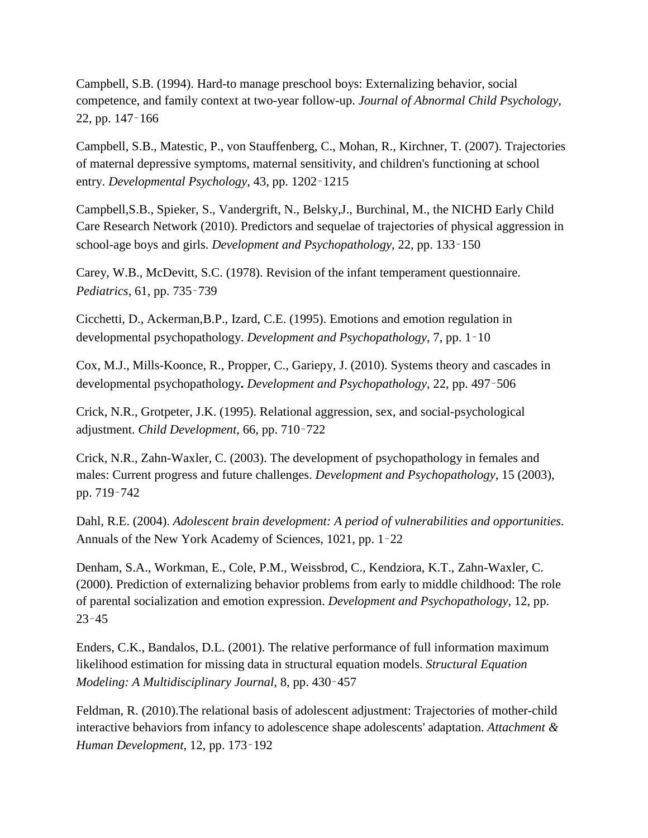Campbell, S.B. (1994). Hard-to manage preschool boys: Externalizing behavior, social competence, and family context at two-year follow-up. *Journal of Abnormal Child Psychology*, 22, pp. 147–166

Campbell, S.B., Matestic, P., von Stauffenberg, C., Mohan, R., Kirchner, T. (2007). Trajectories of maternal depressive symptoms, maternal sensitivity, and children's functioning at school entry. *Developmental Psychology*, 43, pp. 1202–1215

Campbell,S.B., Spieker, S., Vandergrift, N., Belsky,J., Burchinal, M., the NICHD Early Child Care Research Network (2010). Predictors and sequelae of trajectories of physical aggression in school-age boys and girls. *Development and Psychopathology*, 22, pp. 133–150

Carey, W.B., McDevitt, S.C. (1978). Revision of the infant temperament questionnaire. *Pediatrics*, 61, pp. 735–739

Cicchetti, D., Ackerman,B.P., Izard, C.E. (1995). Emotions and emotion regulation in developmental psychopathology. *Development and Psychopathology*, 7, pp. 1–10

Cox, M.J., Mills-Koonce, R., Propper, C., Gariepy, J. (2010). Systems theory and cascades in developmental psychopathology**.** *Development and Psychopathology*, 22, pp. 497–506

Crick, N.R., Grotpeter, J.K. (1995). Relational aggression, sex, and social-psychological adjustment. *Child Development*, 66, pp. 710–722

Crick, N.R., Zahn-Waxler, C. (2003). The development of psychopathology in females and males: Current progress and future challenges. *Development and Psychopathology*, 15 (2003), pp. 719–742

Dahl, R.E. (2004). *Adolescent brain development: A period of vulnerabilities and opportunities.* Annuals of the New York Academy of Sciences, 1021, pp. 1–22

Denham, S.A., Workman, E., Cole, P.M., Weissbrod, C., Kendziora, K.T., Zahn-Waxler, C. (2000). Prediction of externalizing behavior problems from early to middle childhood: The role of parental socialization and emotion expression. *Development and Psychopathology*, 12, pp. 23–45

Enders, C.K., Bandalos, D.L. (2001). The relative performance of full information maximum likelihood estimation for missing data in structural equation models. *Structural Equation Modeling: A Multidisciplinary Journal*, 8, pp. 430–457

Feldman, R. (2010).The relational basis of adolescent adjustment: Trajectories of mother-child interactive behaviors from infancy to adolescence shape adolescents' adaptation. *Attachment & Human Development*, 12, pp. 173–192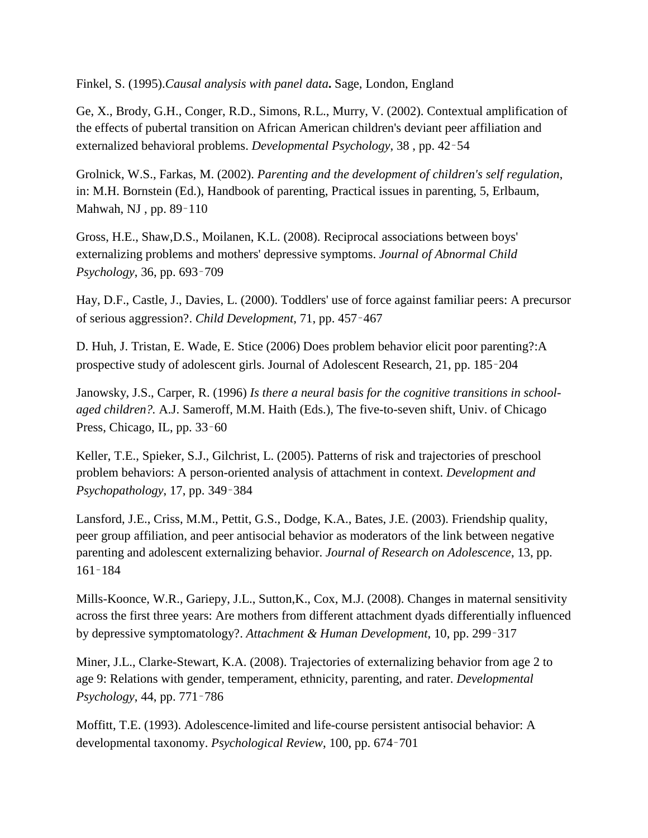Finkel, S. (1995).*Causal analysis with panel data***.** Sage, London, England

Ge, X., Brody, G.H., Conger, R.D., Simons, R.L., Murry, V. (2002). Contextual amplification of the effects of pubertal transition on African American children's deviant peer affiliation and externalized behavioral problems. *Developmental Psychology*, 38 , pp. 42–54

Grolnick, W.S., Farkas, M. (2002). *Parenting and the development of children's self regulation*, in: M.H. Bornstein (Ed.), Handbook of parenting, Practical issues in parenting, 5, Erlbaum, Mahwah, NJ , pp. 89–110

Gross, H.E., Shaw,D.S., Moilanen, K.L. (2008). Reciprocal associations between boys' externalizing problems and mothers' depressive symptoms. *Journal of Abnormal Child Psychology*, 36, pp. 693–709

Hay, D.F., Castle, J., Davies, L. (2000). Toddlers' use of force against familiar peers: A precursor of serious aggression?. *Child Development*, 71, pp. 457–467

D. Huh, J. Tristan, E. Wade, E. Stice (2006) Does problem behavior elicit poor parenting?:A prospective study of adolescent girls. Journal of Adolescent Research, 21, pp. 185–204

Janowsky, J.S., Carper, R. (1996) *Is there a neural basis for the cognitive transitions in schoolaged children?.* A.J. Sameroff, M.M. Haith (Eds.), The five-to-seven shift, Univ. of Chicago Press, Chicago, IL, pp. 33–60

Keller, T.E., Spieker, S.J., Gilchrist, L. (2005). Patterns of risk and trajectories of preschool problem behaviors: A person-oriented analysis of attachment in context. *Development and Psychopathology*, 17, pp. 349–384

Lansford, J.E., Criss, M.M., Pettit, G.S., Dodge, K.A., Bates, J.E. (2003). Friendship quality, peer group affiliation, and peer antisocial behavior as moderators of the link between negative parenting and adolescent externalizing behavior. *Journal of Research on Adolescence*, 13, pp. 161–184

Mills-Koonce, W.R., Gariepy, J.L., Sutton,K., Cox, M.J. (2008). Changes in maternal sensitivity across the first three years: Are mothers from different attachment dyads differentially influenced by depressive symptomatology?. *Attachment & Human Development*, 10, pp. 299–317

Miner, J.L., Clarke-Stewart, K.A. (2008). Trajectories of externalizing behavior from age 2 to age 9: Relations with gender, temperament, ethnicity, parenting, and rater. *Developmental Psychology*, 44, pp. 771–786

Moffitt, T.E. (1993). Adolescence-limited and life-course persistent antisocial behavior: A developmental taxonomy. *Psychological Review*, 100, pp. 674–701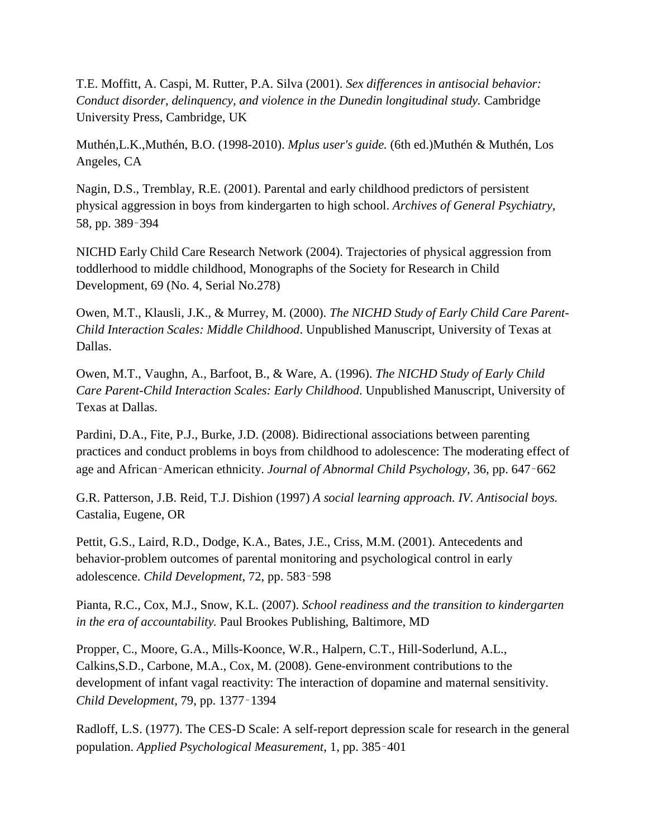T.E. Moffitt, A. Caspi, M. Rutter, P.A. Silva (2001). *Sex differences in antisocial behavior: Conduct disorder, delinquency, and violence in the Dunedin longitudinal study.* Cambridge University Press, Cambridge, UK

Muthén,L.K.,Muthén, B.O. (1998-2010). *Mplus user's guide.* (6th ed.)Muthén & Muthén, Los Angeles, CA

Nagin, D.S., Tremblay, R.E. (2001). Parental and early childhood predictors of persistent physical aggression in boys from kindergarten to high school. *Archives of General Psychiatry*, 58, pp. 389–394

NICHD Early Child Care Research Network (2004). Trajectories of physical aggression from toddlerhood to middle childhood, Monographs of the Society for Research in Child Development, 69 (No. 4, Serial No.278)

Owen, M.T., Klausli, J.K., & Murrey, M. (2000). *The NICHD Study of Early Child Care Parent-Child Interaction Scales: Middle Childhood*. Unpublished Manuscript, University of Texas at Dallas.

Owen, M.T., Vaughn, A., Barfoot, B., & Ware, A. (1996). *The NICHD Study of Early Child Care Parent-Child Interaction Scales: Early Childhood*. Unpublished Manuscript, University of Texas at Dallas.

Pardini, D.A., Fite, P.J., Burke, J.D. (2008). Bidirectional associations between parenting practices and conduct problems in boys from childhood to adolescence: The moderating effect of age and African–American ethnicity. *Journal of Abnormal Child Psychology*, 36, pp. 647–662

G.R. Patterson, J.B. Reid, T.J. Dishion (1997) *A social learning approach. IV. Antisocial boys.* Castalia, Eugene, OR

Pettit, G.S., Laird, R.D., Dodge, K.A., Bates, J.E., Criss, M.M. (2001). Antecedents and behavior-problem outcomes of parental monitoring and psychological control in early adolescence. *Child Development*, 72, pp. 583–598

Pianta, R.C., Cox, M.J., Snow, K.L. (2007). *School readiness and the transition to kindergarten in the era of accountability.* Paul Brookes Publishing, Baltimore, MD

Propper, C., Moore, G.A., Mills-Koonce, W.R., Halpern, C.T., Hill-Soderlund, A.L., Calkins,S.D., Carbone, M.A., Cox, M. (2008). Gene-environment contributions to the development of infant vagal reactivity: The interaction of dopamine and maternal sensitivity. *Child Development*, 79, pp. 1377–1394

Radloff, L.S. (1977). The CES-D Scale: A self-report depression scale for research in the general population. *Applied Psychological Measurement*, 1, pp. 385–401